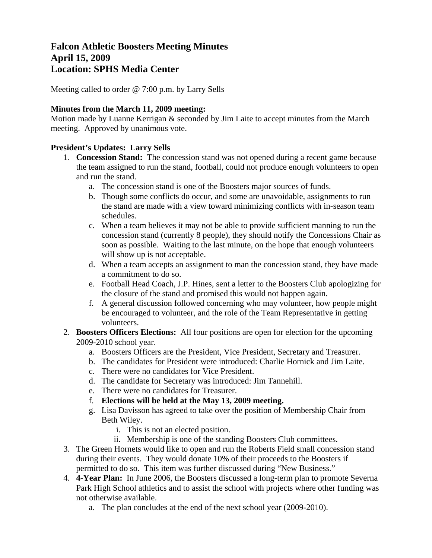# **Falcon Athletic Boosters Meeting Minutes April 15, 2009 Location: SPHS Media Center**

Meeting called to order @ 7:00 p.m. by Larry Sells

#### **Minutes from the March 11, 2009 meeting:**

Motion made by Luanne Kerrigan & seconded by Jim Laite to accept minutes from the March meeting. Approved by unanimous vote.

#### **President's Updates: Larry Sells**

- 1. **Concession Stand:** The concession stand was not opened during a recent game because the team assigned to run the stand, football, could not produce enough volunteers to open and run the stand.
	- a. The concession stand is one of the Boosters major sources of funds.
	- b. Though some conflicts do occur, and some are unavoidable, assignments to run the stand are made with a view toward minimizing conflicts with in-season team schedules.
	- c. When a team believes it may not be able to provide sufficient manning to run the concession stand (currently 8 people), they should notify the Concessions Chair as soon as possible. Waiting to the last minute, on the hope that enough volunteers will show up is not acceptable.
	- d. When a team accepts an assignment to man the concession stand, they have made a commitment to do so.
	- e. Football Head Coach, J.P. Hines, sent a letter to the Boosters Club apologizing for the closure of the stand and promised this would not happen again.
	- f. A general discussion followed concerning who may volunteer, how people might be encouraged to volunteer, and the role of the Team Representative in getting volunteers.
- 2. **Boosters Officers Elections:** All four positions are open for election for the upcoming 2009-2010 school year.
	- a. Boosters Officers are the President, Vice President, Secretary and Treasurer.
	- b. The candidates for President were introduced: Charlie Hornick and Jim Laite.
	- c. There were no candidates for Vice President.
	- d. The candidate for Secretary was introduced: Jim Tannehill.
	- e. There were no candidates for Treasurer.
	- f. **Elections will be held at the May 13, 2009 meeting.**
	- g. Lisa Davisson has agreed to take over the position of Membership Chair from Beth Wiley.
		- i. This is not an elected position.
		- ii. Membership is one of the standing Boosters Club committees.
- 3. The Green Hornets would like to open and run the Roberts Field small concession stand during their events. They would donate 10% of their proceeds to the Boosters if permitted to do so. This item was further discussed during "New Business."
- 4. **4-Year Plan:** In June 2006, the Boosters discussed a long-term plan to promote Severna Park High School athletics and to assist the school with projects where other funding was not otherwise available.
	- a. The plan concludes at the end of the next school year (2009-2010).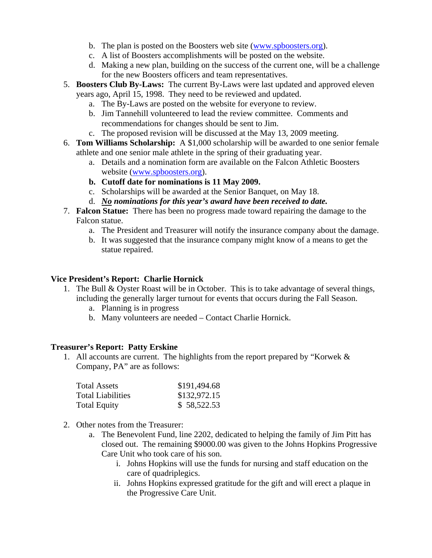- b. The plan is posted on the Boosters web site ([www.spboosters.org\)](http://www.spboosters.org/).
- c. A list of Boosters accomplishments will be posted on the website.
- d. Making a new plan, building on the success of the current one, will be a challenge for the new Boosters officers and team representatives.
- 5. **Boosters Club By-Laws:** The current By-Laws were last updated and approved eleven years ago, April 15, 1998. They need to be reviewed and updated.
	- a. The By-Laws are posted on the website for everyone to review.
	- b. Jim Tannehill volunteered to lead the review committee. Comments and recommendations for changes should be sent to Jim.
	- c. The proposed revision will be discussed at the May 13, 2009 meeting.
- 6. **Tom Williams Scholarship:** A \$1,000 scholarship will be awarded to one senior female athlete and one senior male athlete in the spring of their graduating year.
	- a. Details and a nomination form are available on the Falcon Athletic Boosters website ([www.spboosters.org](http://www.spboosters.org/)).
	- **b. Cutoff date for nominations is 11 May 2009.**
	- c. Scholarships will be awarded at the Senior Banquet, on May 18.
	- d. *No nominations for this year's award have been received to date.*
- 7. **Falcon Statue:** There has been no progress made toward repairing the damage to the Falcon statue.
	- a. The President and Treasurer will notify the insurance company about the damage.
	- b. It was suggested that the insurance company might know of a means to get the statue repaired.

#### **Vice President's Report: Charlie Hornick**

- 1. The Bull & Oyster Roast will be in October. This is to take advantage of several things, including the generally larger turnout for events that occurs during the Fall Season.
	- a. Planning is in progress
	- b. Many volunteers are needed Contact Charlie Hornick.

#### **Treasurer's Report: Patty Erskine**

1. All accounts are current. The highlights from the report prepared by "Korwek & Company, PA" are as follows:

| <b>Total Assets</b> | \$191,494.68 |
|---------------------|--------------|
| Total Liabilities   | \$132,972.15 |
| <b>Total Equity</b> | \$58,522.53  |

- 2. Other notes from the Treasurer:
	- a. The Benevolent Fund, line 2202, dedicated to helping the family of Jim Pitt has closed out. The remaining \$9000.00 was given to the Johns Hopkins Progressive Care Unit who took care of his son.
		- i. Johns Hopkins will use the funds for nursing and staff education on the care of quadriplegics.
		- ii. Johns Hopkins expressed gratitude for the gift and will erect a plaque in the Progressive Care Unit.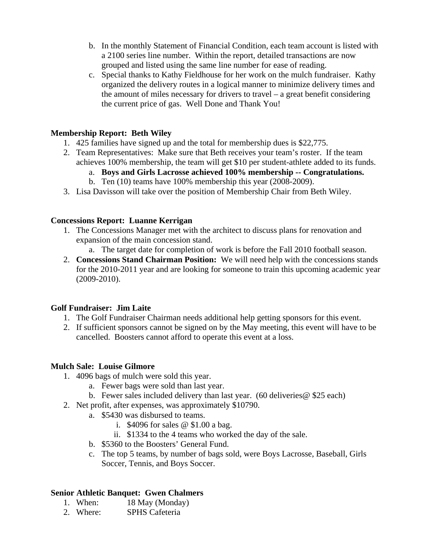- b. In the monthly Statement of Financial Condition, each team account is listed with a 2100 series line number. Within the report, detailed transactions are now grouped and listed using the same line number for ease of reading.
- c. Special thanks to Kathy Fieldhouse for her work on the mulch fundraiser. Kathy organized the delivery routes in a logical manner to minimize delivery times and the amount of miles necessary for drivers to travel – a great benefit considering the current price of gas. Well Done and Thank You!

#### **Membership Report: Beth Wiley**

- 1. 425 families have signed up and the total for membership dues is \$22,775.
- 2. Team Representatives: Make sure that Beth receives your team's roster. If the team achieves 100% membership, the team will get \$10 per student-athlete added to its funds.
	- a. **Boys and Girls Lacrosse achieved 100% membership -- Congratulations.**
	- b. Ten (10) teams have 100% membership this year (2008-2009).
- 3. Lisa Davisson will take over the position of Membership Chair from Beth Wiley.

### **Concessions Report: Luanne Kerrigan**

- 1. The Concessions Manager met with the architect to discuss plans for renovation and expansion of the main concession stand.
	- a. The target date for completion of work is before the Fall 2010 football season.
- 2. **Concessions Stand Chairman Position:** We will need help with the concessions stands for the 2010-2011 year and are looking for someone to train this upcoming academic year (2009-2010).

## **Golf Fundraiser: Jim Laite**

- 1. The Golf Fundraiser Chairman needs additional help getting sponsors for this event.
- 2. If sufficient sponsors cannot be signed on by the May meeting, this event will have to be cancelled. Boosters cannot afford to operate this event at a loss.

#### **Mulch Sale: Louise Gilmore**

- 1. 4096 bags of mulch were sold this year.
	- a. Fewer bags were sold than last year.
	- b. Fewer sales included delivery than last year.  $(60$  deliveries  $@$  \$25 each)
- 2. Net profit, after expenses, was approximately \$10790.
	- a. \$5430 was disbursed to teams.
		- i. \$4096 for sales @ \$1.00 a bag.
		- ii. \$1334 to the 4 teams who worked the day of the sale.
	- b. \$5360 to the Boosters' General Fund.
	- c. The top 5 teams, by number of bags sold, were Boys Lacrosse, Baseball, Girls Soccer, Tennis, and Boys Soccer.

## **Senior Athletic Banquet: Gwen Chalmers**

- 1. When: 18 May (Monday)
- 2. Where: SPHS Cafeteria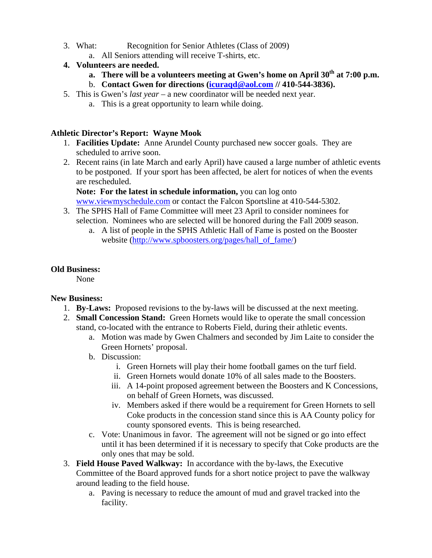- 3. What: Recognition for Senior Athletes (Class of 2009)
	- a. All Seniors attending will receive T-shirts, etc.

## **4. Volunteers are needed.**

- **a.** There will be a volunteers meeting at Gwen's home on April 30<sup>th</sup> at 7:00 p.m.
- b. **Contact Gwen for directions ([icuraqd@aol.com](mailto:icuraqd@aol.com) // 410-544-3836).**
- 5. This is Gwen's *last year* a new coordinator will be needed next year.
	- a. This is a great opportunity to learn while doing.

### **Athletic Director's Report: Wayne Mook**

- 1. **Facilities Update:** Anne Arundel County purchased new soccer goals. They are scheduled to arrive soon.
- 2. Recent rains (in late March and early April) have caused a large number of athletic events to be postponed. If your sport has been affected, be alert for notices of when the events are rescheduled.

**Note: For the latest in schedule information,** you can log onto [www.viewmyschedule.com](http://www.viewmyschedule.com/) or contact the Falcon Sportsline at 410-544-5302.

- 3. The SPHS Hall of Fame Committee will meet 23 April to consider nominees for selection. Nominees who are selected will be honored during the Fall 2009 season.
	- a. A list of people in the SPHS Athletic Hall of Fame is posted on the Booster website ([http://www.spboosters.org/pages/hall\\_of\\_fame/](http://www.spboosters.org/pages/hall_of_fame/))

## **Old Business:**

None

## **New Business:**

- 1. **By-Laws:** Proposed revisions to the by-laws will be discussed at the next meeting.
- 2. **Small Concession Stand:** Green Hornets would like to operate the small concession stand, co-located with the entrance to Roberts Field, during their athletic events.
	- a. Motion was made by Gwen Chalmers and seconded by Jim Laite to consider the Green Hornets' proposal.
	- b. Discussion:
		- i. Green Hornets will play their home football games on the turf field.
		- ii. Green Hornets would donate 10% of all sales made to the Boosters.
		- iii. A 14-point proposed agreement between the Boosters and K Concessions, on behalf of Green Hornets, was discussed.
		- iv. Members asked if there would be a requirement for Green Hornets to sell Coke products in the concession stand since this is AA County policy for county sponsored events. This is being researched.
	- c. Vote: Unanimous in favor. The agreement will not be signed or go into effect until it has been determined if it is necessary to specify that Coke products are the only ones that may be sold.
- 3. **Field House Paved Walkway:** In accordance with the by-laws, the Executive Committee of the Board approved funds for a short notice project to pave the walkway around leading to the field house.
	- a. Paving is necessary to reduce the amount of mud and gravel tracked into the facility.